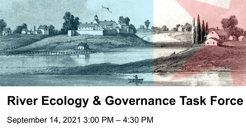

### **River Ecology & Governance Task Force**

September 14, 2021 3:00 PM – 4:30 PM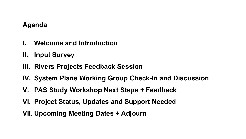#### **Agenda**

- **I. Welcome and Introduction**
- **II. Input Survey**
- **III. Rivers Projects Feedback Session**
- **IV. System Plans Working Group Check-In and Discussion**
- **V. PAS Study Workshop Next Steps + Feedback**
- **VI. Project Status, Updates and Support Needed**
- **VII. Upcoming Meeting Dates + Adjourn**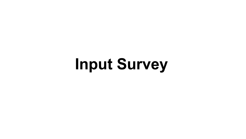**Input Survey**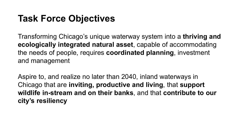#### **Task Force Objectives**

Transforming Chicago's unique waterway system into a **thriving and ecologically integrated natural asset**, capable of accommodating the needs of people, requires **coordinated planning**, investment and management

Aspire to, and realize no later than 2040, inland waterways in Chicago that are **inviting, productive and living**, that **support wildlife in-stream and on their banks**, and that **contribute to our city's resiliency**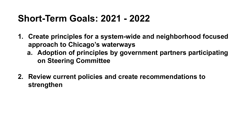#### **Short-Term Goals: 2021 - 2022**

- **1. Create principles for a system-wide and neighborhood focused approach to Chicago's waterways**
	- **a. Adoption of principles by government partners participating on Steering Committee**
- **2. Review current policies and create recommendations to strengthen**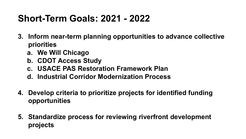#### **Short-Term Goals: 2021 - 2022**

- **3. Inform near-term planning opportunities to advance collective priorities**
	- **a. We Will Chicago**
	- **b. CDOT Access Study**
	- **c. USACE PAS Restoration Framework Plan**
	- **d. Industrial Corridor Modernization Process**
- **4. Develop criteria to prioritize projects for identified funding opportunities**
- **5. Standardize process for reviewing riverfront development projects**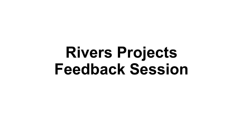## **Rivers Projects Feedback Session**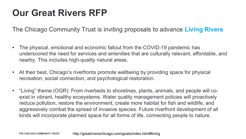#### **Our Great Rivers RFP**

The Chicago Community Trust is inviting proposals to advance **Living Rivers**

- The physical, emotional and economic fallout from the COVID-19 pandemic has underscored the need for services and amenities that are culturally relevant, affordable, and nearby. This includes high-quality natural areas.
- At their best, Chicago's riverfronts promote wellbeing by providing space for physical recreation, social connection, and psychological restoration.
- "Living" theme (OGR): From riverbeds to shorelines, plants, animals, and people will coexist in vibrant, healthy ecosystems. Water quality management policies will proactively reduce pollution, restore the environment, create more habitat for fish and wildlife, and aggressively combat the spread of invasive species. Future riverfront development of all kinds will incorporate planned space for all forms of life, connecting people to nature.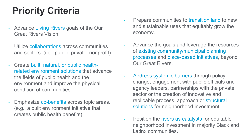### **Priority Criteria**

- Advance Living Rivers goals of the Our Great Rivers Vision.
- Utilize collaborations across communities and sectors. (i.e., public, private, nonprofit).
- Create built, natural, or public healthrelated environment solutions that advance the fields of public health and the environment and improve the physical condition of communities.
- Emphasize co-benefits across topic areas. (e.g., a built environment initiative that creates public health benefits).
- Prepare communities to transition land to new and sustainable uses that equitably grow the economy.
- Advance the goals and leverage the resources of existing community/municipal planning processes and place-based initiatives, beyond Our Great Rivers.
- Address systemic barriers through policy change, engagement with public officials and agency leaders, partnerships with the private sector or the creation of innovative and replicable process, approach or structural solutions for neighborhood investment.
- Position the rivers as catalysts for equitable neighborhood investment in majority Black and Latinx communities.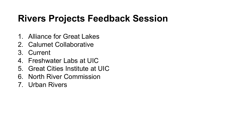#### **Rivers Projects Feedback Session**

- 1. Alliance for Great Lakes
- 2. Calumet Collaborative
- 3. Current
- 4. Freshwater Labs at UIC
- 5. Great Cities Institute at UIC
- 6. North River Commission
- 7. Urban Rivers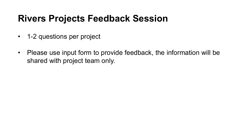#### **Rivers Projects Feedback Session**

- 1-2 questions per project
- Please use input form to provide feedback, the information will be shared with project team only.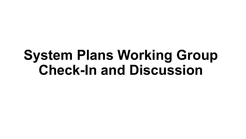### **System Plans Working Group Check-In and Discussion**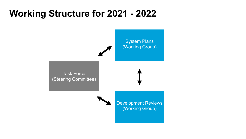#### **Working Structure for 2021 - 2022**

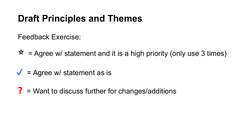#### **Draft Principles and Themes**

Feedback Exercise:

 $\hat{x}$  = Agree w/ statement and it is a high priority (only use 3 times)

- $\sqrt{\phantom{a}}$  = Agree w/ statement as is
- ? = Want to discuss further for changes/additions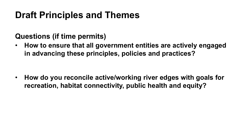#### **Draft Principles and Themes**

#### **Questions (if time permits)**

• **How to ensure that all government entities are actively engaged in advancing these principles, policies and practices?** 

• **How do you reconcile active/working river edges with goals for recreation, habitat connectivity, public health and equity?**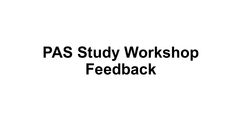## **PAS Study Workshop Feedback**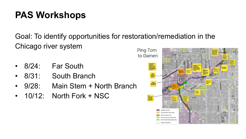#### **PAS Workshops**

Goal: To identify opportunities for restoration/remediation in the Chicago river system Ping Tom

- 8/24: Far South
- 8/31: South Branch
- 9/28: Main Stem + North Branch
- $\cdot$  10/12: North Fork + NSC

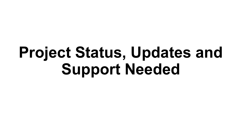# **Project Status, Updates and Support Needed**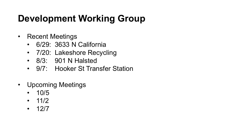### **Development Working Group**

- Recent Meetings
	- 6/29: 3633 N California
	- 7/20: Lakeshore Recycling
	- 8/3: 901 N Halsted
	- 9/7: Hooker St Transfer Station
- Upcoming Meetings
	- 10/5
	- $11/2$
	- 12/7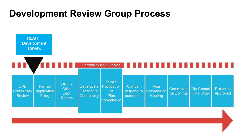#### **Development Review Group Process**

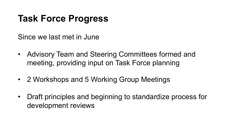#### **Task Force Progress**

Since we last met in June

- Advisory Team and Steering Committees formed and meeting, providing input on Task Force planning
- 2 Workshops and 5 Working Group Meetings
- Draft principles and beginning to standardize process for development reviews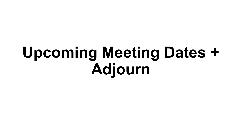# **Upcoming Meeting Dates + Adjourn**